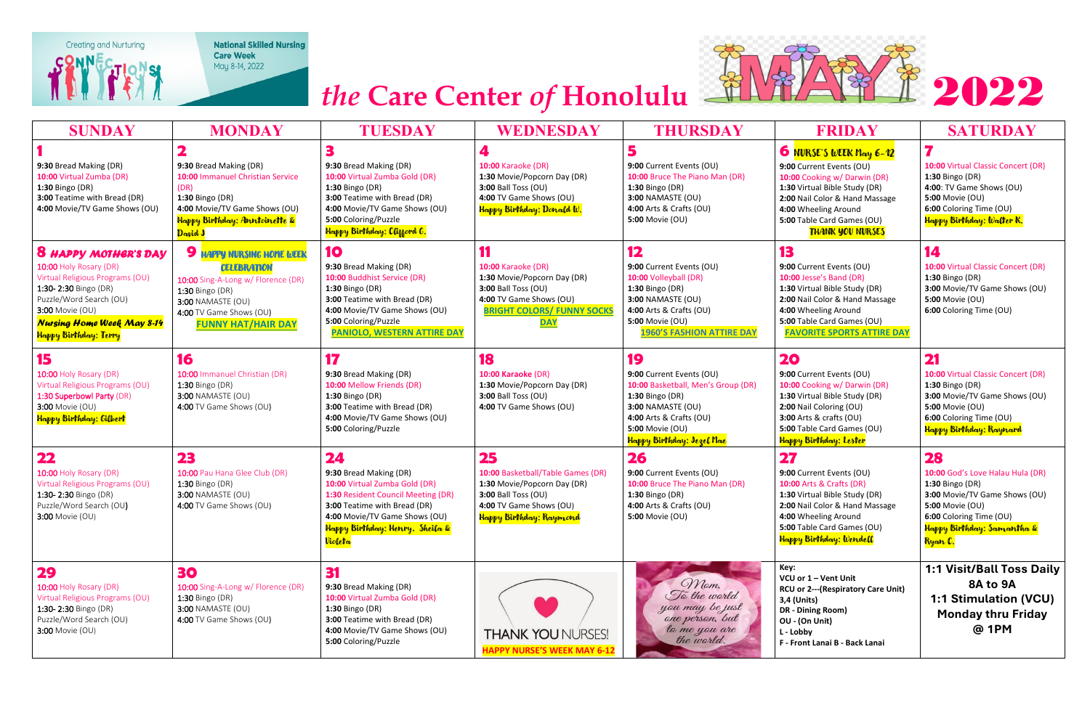

**National Skilled Nursing** Care Week<br>May 8-14, 2022



| <b>SUNDAY</b>                                                                                                                                                                                                                | <b>MONDAY</b>                                                                                                                                                                                | <b>TUESDAY</b>                                                                                                                                                                                                     | WEDNESDAY                                                                                                                                                        | <b>THURSDAY</b>                                                                                                                                                                         | <b>FRIDAY</b>                                                                                                                                                                                                                                  | <b>SATURDAY</b>                                                                                                                                                                                |
|------------------------------------------------------------------------------------------------------------------------------------------------------------------------------------------------------------------------------|----------------------------------------------------------------------------------------------------------------------------------------------------------------------------------------------|--------------------------------------------------------------------------------------------------------------------------------------------------------------------------------------------------------------------|------------------------------------------------------------------------------------------------------------------------------------------------------------------|-----------------------------------------------------------------------------------------------------------------------------------------------------------------------------------------|------------------------------------------------------------------------------------------------------------------------------------------------------------------------------------------------------------------------------------------------|------------------------------------------------------------------------------------------------------------------------------------------------------------------------------------------------|
| 9:30 Bread Making (DR)<br>10:00 Virtual Zumba (DR)<br>1:30 Bingo (DR)<br>3:00 Teatime with Bread (DR)<br>4:00 Movie/TV Game Shows (OU)                                                                                       | 9:30 Bread Making (DR)<br>10:00 Immanuel Christian Service<br>(DR)<br>1:30 Bingo (DR)<br>4:00 Movie/TV Game Shows (OU)<br>Happy Birthday: Anntoinette &<br>David J                           | 9:30 Bread Making (DR)<br>10:00 Virtual Zumba Gold (DR)<br>1:30 Bingo (DR)<br>3:00 Teatime with Bread (DR)<br>4:00 Movie/TV Game Shows (OU)<br>5:00 Coloring/Puzzle<br>Happy Birthday: Clifford G.                 | <b>10:00 Karaoke (DR)</b><br>1:30 Movie/Popcorn Day (DR)<br>3:00 Ball Toss (OU)<br>4:00 TV Game Shows (OU)<br>Happy Birthday: Donald W.                          | 9:00 Current Events (OU)<br>10:00 Bruce The Piano Man (DR)<br>1:30 Bingo (DR)<br>3:00 NAMASTE (OU)<br>4:00 Arts & Crafts (OU)<br>5:00 Movie (OU)                                        | 6 <b>NURSE'S WEEK May 6-12</b><br>9:00 Current Events (OU)<br>10:00 Cooking w/ Darwin (DR)<br>1:30 Virtual Bible Study (DR)<br>2:00 Nail Color & Hand Massage<br>4:00 Wheeling Around<br>5:00 Table Card Games (OU)<br><b>THANK YOU NURSES</b> | 10:00 Virtual Classic Concert (DR)<br>1:30 Bingo (DR)<br>4:00: TV Game Shows (OU)<br>5:00 Movie (OU)<br>6:00 Coloring Time (OU)<br>Happy Birthday: Walter K.                                   |
| <b>8 HAPPY MOTHER'S DAY</b><br>10:00 Holy Rosary (DR)<br>Virtual Religious Programs (OU)<br>1:30-2:30 Bingo (DR)<br>Puzzle/Word Search (OU)<br>3:00 Movie (OU)<br><b>Nursing Home Week May 8-14</b><br>Happy Birthday: Terry | <b>9 HAPPY NURSING HOME WEEK</b><br><b>CELEBRATION</b><br>10:00 Sing-A-Long w/ Florence (DR)<br>1:30 Bingo (DR)<br>3:00 NAMASTE (OU)<br>4:00 TV Game Shows (OU)<br><b>FUNNY HAT/HAIR DAY</b> | 10<br>9:30 Bread Making (DR)<br>10:00 Buddhist Service (DR)<br>1:30 Bingo (DR)<br>3:00 Teatime with Bread (DR)<br>4:00 Movie/TV Game Shows (OU)<br>5:00 Coloring/Puzzle<br><b>PANIOLO, WESTERN ATTIRE DAY</b>      | <b>10:00 Karaoke (DR)</b><br>1:30 Movie/Popcorn Day (DR)<br>3:00 Ball Toss (OU)<br>4:00 TV Game Shows (OU)<br><b>BRIGHT COLORS/ FUNNY SOCKS</b><br><b>DAY</b>    | 12<br>9:00 Current Events (OU)<br>10:00 Volleyball (DR)<br>1:30 Bingo (DR)<br>3:00 NAMASTE (OU)<br>4:00 Arts & Crafts (OU)<br>5:00 Movie (OU)<br><b>1960'S FASHION ATTIRE DAY</b>       | 13<br>9:00 Current Events (OU)<br>10:00 Jesse's Band (DR)<br>1:30 Virtual Bible Study (DR)<br>2:00 Nail Color & Hand Massage<br>4:00 Wheeling Around<br>5:00 Table Card Games (OU)<br><b>FAVORITE SPORTS ATTIRE DAY</b>                        | 14<br>10:00 Virtual Classic Concert (DR)<br>1:30 Bingo (DR)<br>3:00 Movie/TV Game Shows (OU)<br>5:00 Movie (OU)<br>6:00 Coloring Time (OU)                                                     |
| 15<br>10:00 Holy Rosary (DR)<br>Virtual Religious Programs (OU)<br>1:30 Superbowl Party (DR)<br>3:00 Movie (OU)<br>Happy Birthday: Gilbert                                                                                   | 16<br>10:00 Immanuel Christian (DR)<br>1:30 Bingo (DR)<br>3:00 NAMASTE (OU)<br>4:00 TV Game Shows (OU)                                                                                       | 17<br>9:30 Bread Making (DR)<br>10:00 Mellow Friends (DR)<br>1:30 Bingo (DR)<br>3:00 Teatime with Bread (DR)<br>4:00 Movie/TV Game Shows (OU)<br>5:00 Coloring/Puzzle                                              | 18<br>10:00 Karaoke (DR)<br>1:30 Movie/Popcorn Day (DR)<br>3:00 Ball Toss (OU)<br>4:00 TV Game Shows (OU)                                                        | 19<br>9:00 Current Events (OU)<br>10:00 Basketball, Men's Group (DR)<br>1:30 Bingo (DR)<br>3:00 NAMASTE (OU)<br>4:00 Arts & Crafts (OU)<br>5:00 Movie (OU)<br>Happy Birthday: Jezel Mae | 20<br>9:00 Current Events (OU)<br>10:00 Cooking w/ Darwin (DR)<br>1:30 Virtual Bible Study (DR)<br>2:00 Nail Coloring (OU)<br>3:00 Arts & crafts (OU)<br>5:00 Table Card Games (OU)<br>Happy Birthday: Lester                                  | 21<br>10:00 Virtual Classic Concert (DR)<br>1:30 Bingo (DR)<br>3:00 Movie/TV Game Shows (OU)<br>5:00 Movie (OU)<br>6:00 Coloring Time (OU)<br>Happy Birthday: Raynard                          |
| 22<br>10:00 Holy Rosary (DR)<br>Virtual Religious Programs (OU)<br>1:30-2:30 Bingo (DR)<br>Puzzle/Word Search (OU)<br><b>3:00 Movie (OU)</b>                                                                                 | 23<br>10:00 Pau Hana Glee Club (DR)<br>1:30 Bingo (DR)<br>3:00 NAMASTE (OU)<br>4:00 TV Game Shows (OU)                                                                                       | 24<br>9:30 Bread Making (DR)<br>10:00 Virtual Zumba Gold (DR)<br>1:30 Resident Council Meeting (DR)<br>3:00 Teatime with Bread (DR)<br>4:00 Movie/TV Game Shows (OU)<br>Happy Birthday: Henry, Sheila &<br>Violeta | 25<br>10:00 Basketball/Table Games (DR)<br>1:30 Movie/Popcorn Day (DR)<br>3:00 Ball Toss (OU)<br>4:00 TV Game Shows (OU)<br><mark>Happy Birthday: Raymond</mark> | 26<br>9:00 Current Events (OU)<br>10:00 Bruce The Piano Man (DR)<br>1:30 Bingo (DR)<br>4:00 Arts & Crafts (OU)<br><b>5:00 Movie (OU)</b>                                                | 27<br>9:00 Current Events (OU)<br>10:00 Arts & Crafts (DR)<br>1:30 Virtual Bible Study (DR)<br>2:00 Nail Color & Hand Massage<br>4:00 Wheeling Around<br>5:00 Table Card Games (OU)<br>Happy Birthday: Wendell                                 | 28<br>10:00 God's Love Halau Hula (DR)<br>1:30 Bingo (DR)<br>3:00 Movie/TV Game Shows (OU)<br>5:00 Movie (OU)<br>6:00 Coloring Time (OU)<br>Happy Birthday: Samantha &<br><mark>Ryan C.</mark> |
| 29<br>10:00 Holy Rosary (DR)<br>Virtual Religious Programs (OU)<br>1:30-2:30 Bingo (DR)<br>Puzzle/Word Search (OU)<br>3:00 Movie (OU)                                                                                        | 30<br>10:00 Sing-A-Long w/ Florence (DR)<br>1:30 Bingo (DR)<br>3:00 NAMASTE (OU)<br>4:00 TV Game Shows (OU)                                                                                  | 31<br>9:30 Bread Making (DR)<br>10:00 Virtual Zumba Gold (DR)<br>1:30 Bingo (DR)<br>3:00 Teatime with Bread (DR)<br>4:00 Movie/TV Game Shows (OU)<br>5:00 Coloring/Puzzle                                          | <b>THANK YOU NURSES!</b><br>IAPPY NURSE'S WEEK M                                                                                                                 | Mam,<br>To the world<br>you may be just<br>one person, but<br>la me you are<br>the world.                                                                                               | Key:<br>VCU or 1 - Vent Unit<br><b>RCU or 2--- (Respiratory Care Unit)</b><br>3,4 (Units)<br>DR - Dining Room)<br>OU - (On Unit)<br>L - Lobby<br>F - Front Lanai B - Back Lanai                                                                | 1:1 Visit/Ball Toss Daily<br>8A to 9A<br>1:1 Stimulation (VCU)<br><b>Monday thru Friday</b><br>@ 1PM                                                                                           |